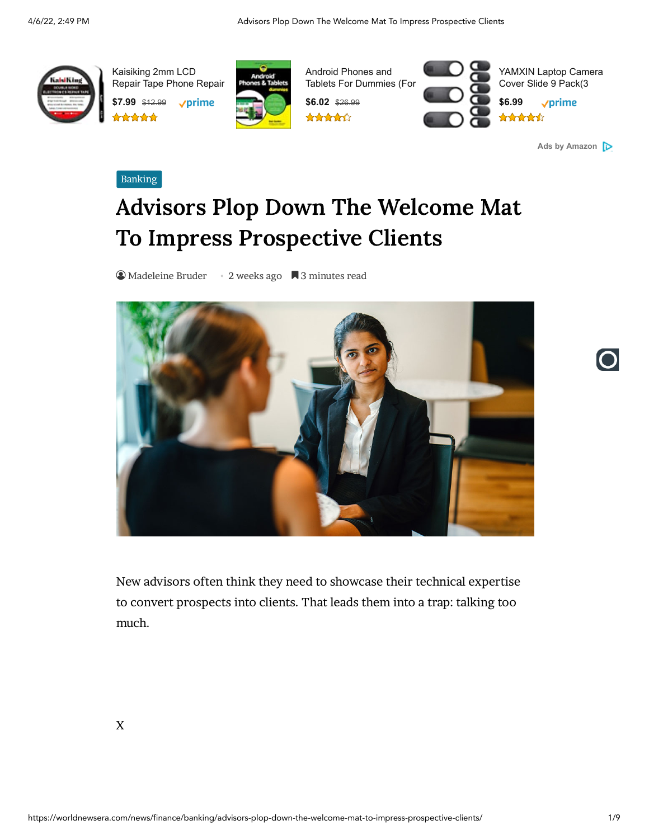

Kaisiking 2mm LCD [Repair Tape Phone Repair](https://aax-us-east.amazon-adsystem.com/x/c/QlokDJaMDI_rHD0r6aIaDM4AAAGAADWUywEAAAE0Acz23w4/https://www.amazon.com/dp/B0817HZN4L/ref=sm_n_au_dka_US_pr_fal_0_0?adId=B0817HZN4L&creativeASIN=B0817HZN4L&linkId=18a336e129377b65f5240b40ebbb384d&tag=jonline08-20&linkCode=w70&ref-refURL=https%3A%2F%2Fworldnewsera.com%2Fnews%2Ffinance%2Fbanking%2Fadvisors-plop-down-the-welcome-mat-to-impress-prospective-clients%2F&slotNum=0&imprToken=ebb0bcf9b22cad4d76748ffc29de7221&adType=smart&adMode=auto&adFormat=strip&impressionTimestamp=1649270952195)

**\$7.99** \$12.99  $\sqrt{p}$ rime



Android Phones and [Tablets For Dummies \(For](https://aax-us-east.amazon-adsystem.com/x/c/QlokDJaMDI_rHD0r6aIaDM4AAAGAADWUywEAAAE0Acz23w4/https://www.amazon.com/dp/1119453852/ref=sm_n_au_dka_US_pr_fal_0_1?adId=1119453852&creativeASIN=1119453852&linkId=18a336e129377b65f5240b40ebbb384d&tag=jonline08-20&linkCode=w70&ref-refURL=https%3A%2F%2Fworldnewsera.com%2Fnews%2Ffinance%2Fbanking%2Fadvisors-plop-down-the-welcome-mat-to-impress-prospective-clients%2F&slotNum=0&imprToken=ebb0bcf9b22cad4d76748ffc29de7221&adType=smart&adMode=auto&adFormat=strip&impressionTimestamp=1649270952201)



[YAMXIN Laptop Camera](https://aax-us-east.amazon-adsystem.com/x/c/QlokDJaMDI_rHD0r6aIaDM4AAAGAADWUywEAAAE0Acz23w4/https://www.amazon.com/dp/B09CNMRQX2/ref=sm_n_au_dka_US_pr_fal_0_2?adId=B09CNMRQX2&creativeASIN=B09CNMRQX2&linkId=18a336e129377b65f5240b40ebbb384d&tag=jonline08-20&linkCode=w70&ref-refURL=https%3A%2F%2Fworldnewsera.com%2Fnews%2Ffinance%2Fbanking%2Fadvisors-plop-down-the-welcome-mat-to-impress-prospective-clients%2F&slotNum=0&imprToken=ebb0bcf9b22cad4d76748ffc29de7221&adType=smart&adMode=auto&adFormat=strip&impressionTimestamp=1649270952204) Cover Slide 9 Pack(3 **\$6.99**vprime

**[Ads by Amazon](https://aax-us-east.amazon-adsystem.com/x/c/QlokDJaMDI_rHD0r6aIaDM4AAAGAADWUywEAAAE0Acz23w4/https://affiliate-program.amazon.com/home/ads/ref=sm_n_au_dka_US_logo?adId=logo&creativeASIN=logo&linkId=18a336e129377b65f5240b40ebbb384d&tag=jonline08-20&linkCode=w70&ref-refURL=https%3A%2F%2Fworldnewsera.com%2Fnews%2Ffinance%2Fbanking%2Fadvisors-plop-down-the-welcome-mat-to-impress-prospective-clients%2F&slotNum=0&imprToken=ebb0bcf9b22cad4d76748ffc29de7221&adType=smart&adMode=auto&adFormat=strip&impressionTimestamp=1649270952205&ac-ms-src=nsa-ads&cid=nsa-ads)**

#### [Banking](https://worldnewsera.com/news/finance/banking/)

# Advisors Plop Down The Welcome Mat To Impress Prospective Clients

● [Madeleine](https://worldnewsera.com/author/madeleine_bruder/) Bruder • 2 weeks ago ■ 3 minutes read



New advisors often think they need to showcase their technical expertise to convert prospects into clients. That leads them into a trap: talking too much.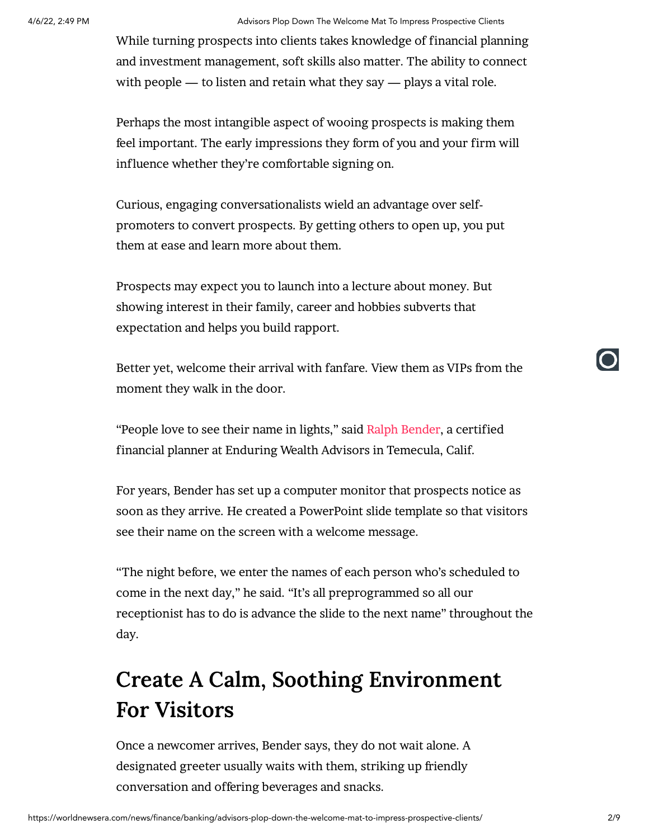4/6/22, 2:49 PM Advisors Plop Down The Welcome Mat To Impress Prospective Clients

While turning prospects into clients takes knowledge of financial planning and investment management, soft skills also matter. The ability to connect with people — to listen and retain what they say — plays a vital role.

Perhaps the most intangible aspect of wooing prospects is making them feel important. The early impressions they form of you and your firm will influence whether they're comfortable signing on.

Curious, engaging conversationalists wield an advantage over selfpromoters to convert prospects. By getting others to open up, you put them at ease and learn more about them.

Prospects may expect you to launch into a lecture about money. But showing interest in their family, career and hobbies subverts that expectation and helps you build rapport.

Better yet, welcome their arrival with fanfare. View them as VIPs from the moment they walk in the door.

"People love to see their name in lights, " said Ralph [Bender,](https://enduringwealth.com/our-team/) a certified financial planner at Enduring Wealth Advisors in Temecula, Calif.

For years, Bender has set up a computer monitor that prospects notice as soon as they arrive. He created a PowerPoint slide template so that visitors see their name on the screen with a welcome message.

"The night before, we enter the names of each person who's scheduled to come in the next day, " he said. "It's all preprogrammed so all our receptionist has to do is advance the slide to the next name" throughout the day.

## Create A Calm, Soothing Environment For Visitors

Once a newcomer arrives, Bender says, they do not wait alone. A designated greeter usually waits with them, striking up friendly conversation and offering beverages and snacks.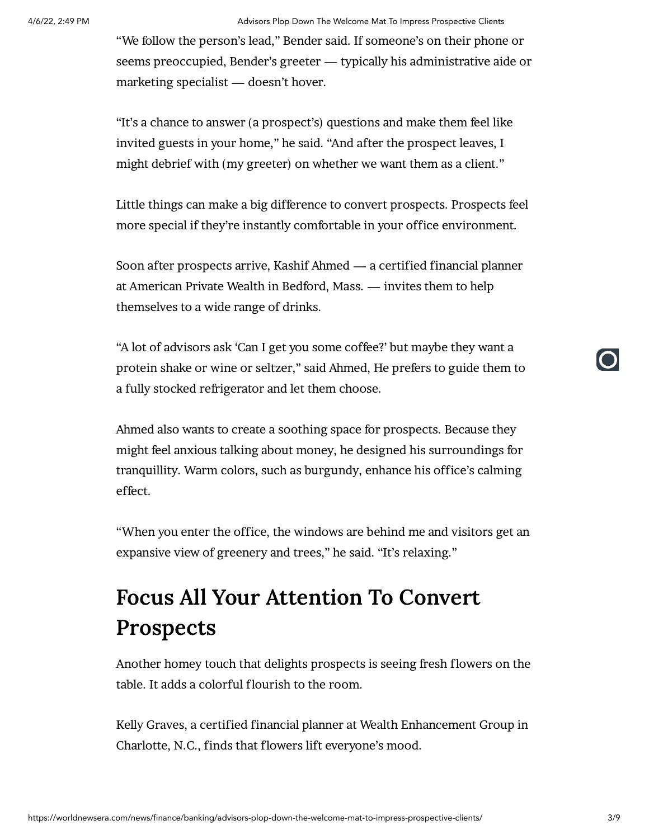#### 4/6/22, 2:49 PM Advisors Plop Down The Welcome Mat To Impress Prospective Clients

"We follow the person's lead, " Bender said. If someone's on their phone or seems preoccupied, Bender's greeter — typically his administrative aide or marketing specialist — doesn't hover.

"It's a chance to answer (a prospect's) questions and make them feel like invited guests in your home, " he said. "And after the prospect leaves, I might debrief with (my greeter) on whether we want them as a client. "

Little things can make a big difference to convert prospects. Prospects feel more special if they're instantly comfortable in your office environment.

Soon after prospects arrive, Kashif Ahmed — a certified financial planner at American Private Wealth in Bedford, Mass. — invites them to help themselves to a wide range of drinks.

"A lot of advisors ask 'Can I get you some coffee?' but maybe they want a protein shake or wine or seltzer, " said Ahmed, He prefers to guide them to a fully stocked refrigerator and let them choose.

Ahmed also wants to create a soothing space for prospects. Because they might feel anxious talking about money, he designed his surroundings for tranquillity. Warm colors, such as burgundy, enhance his office's calming effect.

"When you enter the office, the windows are behind me and visitors get an expansive view of greenery and trees, " he said. "It's relaxing. "

## Focus All Your Attention To Convert Prospects

Another homey touch that delights prospects is seeing fresh flowers on the table. It adds a colorful flourish to the room.

Kelly Graves, a certified financial planner at Wealth Enhancement Group in Charlotte, N.C., finds that flowers lift everyone's mood.